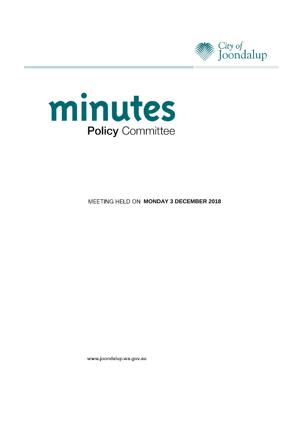



**MEETING HELD ON MONDAY 3 DECEMBER 2018** 

www.joondalup.wa.gov.au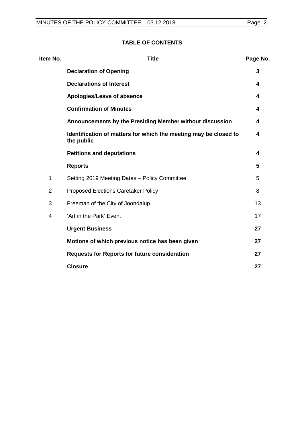# **TABLE OF CONTENTS**

| Item No.       | <b>Title</b>                                                                   | Page No. |
|----------------|--------------------------------------------------------------------------------|----------|
|                | <b>Declaration of Opening</b>                                                  | 3        |
|                | <b>Declarations of Interest</b>                                                | 4        |
|                | Apologies/Leave of absence                                                     | 4        |
|                | <b>Confirmation of Minutes</b>                                                 | 4        |
|                | Announcements by the Presiding Member without discussion                       | 4        |
|                | Identification of matters for which the meeting may be closed to<br>the public | 4        |
|                | <b>Petitions and deputations</b>                                               | 4        |
|                | <b>Reports</b>                                                                 | 5        |
| 1              | Setting 2019 Meeting Dates - Policy Committee                                  | 5        |
| $\overline{2}$ | Proposed Elections Caretaker Policy                                            | 8        |
| 3              | Freeman of the City of Joondalup                                               | 13       |
| $\overline{4}$ | 'Art in the Park' Event                                                        | 17       |
|                | <b>Urgent Business</b>                                                         | 27       |
|                | Motions of which previous notice has been given                                | 27       |
|                | <b>Requests for Reports for future consideration</b>                           | 27       |
|                | <b>Closure</b>                                                                 | 27       |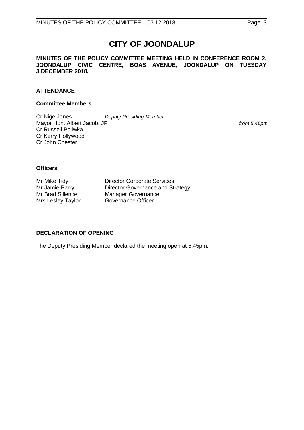# **CITY OF JOONDALUP**

**MINUTES OF THE POLICY COMMITTEE MEETING HELD IN CONFERENCE ROOM 2, JOONDALUP CIVIC CENTRE, BOAS AVENUE, JOONDALUP ON TUESDAY 3 DECEMBER 2018.**

# **ATTENDANCE**

#### **Committee Members**

Cr Nige Jones *Deputy Presiding Member* Mayor Hon. Albert Jacob, JP *Mayor Hon. Albert Jacob*, JP Cr Russell Poliwka Cr Kerry Hollywood Cr John Chester

**Officers**

Mrs Lesley Taylor

Mr Mike Tidy **Director Corporate Services**<br>Mr Jamie Parry **Director Governance and St** Mr Jamie Parry Director Governance and Strategy<br>
Mr Brad Sillence Manager Governance Manager Governance<br>Governance Officer

#### <span id="page-2-0"></span>**DECLARATION OF OPENING**

The Deputy Presiding Member declared the meeting open at 5.45pm.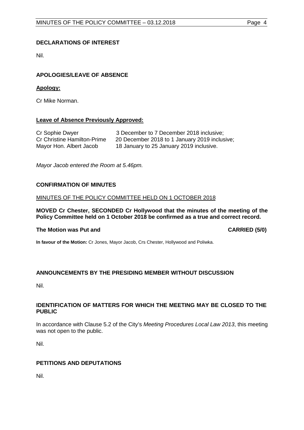# <span id="page-3-0"></span>**DECLARATIONS OF INTEREST**

Nil.

# <span id="page-3-1"></span>**APOLOGIES/LEAVE OF ABSENCE**

# **Apology:**

Cr Mike Norman.

# **Leave of Absence Previously Approved:**

| Cr Sophie Dwyer                    | 3 December to 7 December 2018 inclusive;      |
|------------------------------------|-----------------------------------------------|
| <b>Cr Christine Hamilton-Prime</b> | 20 December 2018 to 1 January 2019 inclusive; |
| Mayor Hon. Albert Jacob            | 18 January to 25 January 2019 inclusive.      |

*Mayor Jacob entered the Room at 5.46pm.*

#### <span id="page-3-2"></span>**CONFIRMATION OF MINUTES**

#### MINUTES OF THE POLICY COMMITTEE HELD ON 1 OCTOBER 2018

**MOVED Cr Chester, SECONDED Cr Hollywood that the minutes of the meeting of the Policy Committee held on 1 October 2018 be confirmed as a true and correct record.**

#### **The Motion was Put and CARRIED (5/0)**

**In favour of the Motion:** Cr Jones, Mayor Jacob, Crs Chester, Hollywood and Poliwka.

#### <span id="page-3-3"></span>**ANNOUNCEMENTS BY THE PRESIDING MEMBER WITHOUT DISCUSSION**

Nil.

#### <span id="page-3-4"></span>**IDENTIFICATION OF MATTERS FOR WHICH THE MEETING MAY BE CLOSED TO THE PUBLIC**

In accordance with Clause 5.2 of the City's *Meeting Procedures Local Law 2013*, this meeting was not open to the public.

Nil.

#### <span id="page-3-5"></span>**PETITIONS AND DEPUTATIONS**

Nil.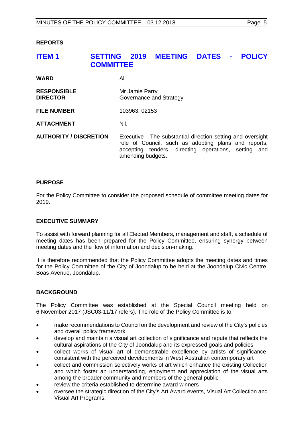#### <span id="page-4-0"></span>**REPORTS**

# <span id="page-4-1"></span>**ITEM 1 SETTING 2019 MEETING DATES - POLICY COMMITTEE WARD** All **RESPONSIBLE** Mr Jamie Parry<br>**DIRECTOR** Governance and **Governance and Strategy FILE NUMBER** 103963, 02153 **ATTACHMENT** Nil. **AUTHORITY / DISCRETION** Executive - The substantial direction setting and oversight role of Council, such as adopting plans and reports, accepting tenders, directing operations, setting and amending budgets.

#### **PURPOSE**

For the Policy Committee to consider the proposed schedule of committee meeting dates for 2019.

#### **EXECUTIVE SUMMARY**

To assist with forward planning for all Elected Members, management and staff, a schedule of meeting dates has been prepared for the Policy Committee, ensuring synergy between meeting dates and the flow of information and decision-making.

It is therefore recommended that the Policy Committee adopts the meeting dates and times for the Policy Committee of the City of Joondalup to be held at the Joondalup Civic Centre, Boas Avenue, Joondalup.

#### **BACKGROUND**

The Policy Committee was established at the Special Council meeting held on 6 November 2017 (JSC03-11/17 refers). The role of the Policy Committee is to:

- make recommendations to Council on the development and review of the City's policies and overall policy framework
- develop and maintain a visual art collection of significance and repute that reflects the cultural aspirations of the City of Joondalup and its expressed goals and policies
- collect works of visual art of demonstrable excellence by artists of significance, consistent with the perceived developments in West Australian contemporary art
- collect and commission selectively works of art which enhance the existing Collection and which foster an understanding, enjoyment and appreciation of the visual arts among the broader community and members of the general public
- review the criteria established to determine award winners
- oversee the strategic direction of the City's Art Award events, Visual Art Collection and Visual Art Programs.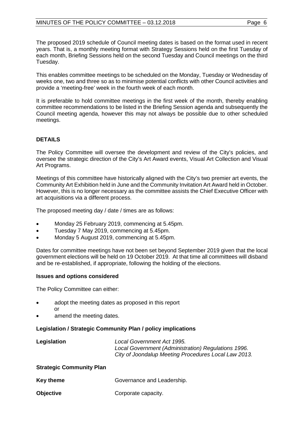The proposed 2019 schedule of Council meeting dates is based on the format used in recent years. That is, a monthly meeting format with Strategy Sessions held on the first Tuesday of each month, Briefing Sessions held on the second Tuesday and Council meetings on the third Tuesday.

This enables committee meetings to be scheduled on the Monday, Tuesday or Wednesday of weeks one, two and three so as to minimise potential conflicts with other Council activities and provide a 'meeting-free' week in the fourth week of each month.

It is preferable to hold committee meetings in the first week of the month, thereby enabling committee recommendations to be listed in the Briefing Session agenda and subsequently the Council meeting agenda, however this may not always be possible due to other scheduled meetings.

# **DETAILS**

The Policy Committee will oversee the development and review of the City's policies, and oversee the strategic direction of the City's Art Award events, Visual Art Collection and Visual Art Programs.

Meetings of this committee have historically aligned with the City's two premier art events, the Community Art Exhibition held in June and the Community Invitation Art Award held in October. However, this is no longer necessary as the committee assists the Chief Executive Officer with art acquisitions via a different process.

The proposed meeting day / date / times are as follows:

- Monday 25 February 2019, commencing at 5.45pm.
- Tuesday 7 May 2019, commencing at 5.45pm.
- Monday 5 August 2019, commencing at 5.45pm.

Dates for committee meetings have not been set beyond September 2019 given that the local government elections will be held on 19 October 2019. At that time all committees will disband and be re-established, if appropriate, following the holding of the elections.

# **Issues and options considered**

The Policy Committee can either:

- adopt the meeting dates as proposed in this report or
- amend the meeting dates.

# **Legislation / Strategic Community Plan / policy implications**

| Legislation | Local Government Act 1995.                           |
|-------------|------------------------------------------------------|
|             | Local Government (Administration) Regulations 1996.  |
|             | City of Joondalup Meeting Procedures Local Law 2013. |
|             |                                                      |

# **Strategic Community Plan**

| <b>Key theme</b> | Governance and Leadership. |
|------------------|----------------------------|
|                  |                            |

**Objective** Corporate capacity.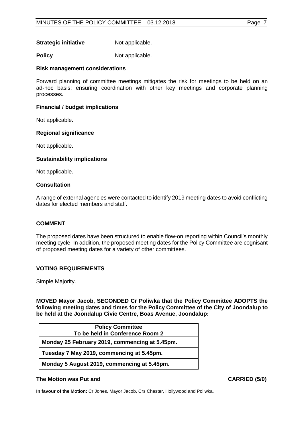**Strategic initiative** Not applicable.

**Policy** Not applicable.

#### **Risk management considerations**

Forward planning of committee meetings mitigates the risk for meetings to be held on an ad-hoc basis; ensuring coordination with other key meetings and corporate planning processes.

### **Financial / budget implications**

Not applicable.

#### **Regional significance**

Not applicable.

#### **Sustainability implications**

Not applicable.

#### **Consultation**

A range of external agencies were contacted to identify 2019 meeting dates to avoid conflicting dates for elected members and staff.

#### **COMMENT**

The proposed dates have been structured to enable flow-on reporting within Council's monthly meeting cycle. In addition, the proposed meeting dates for the Policy Committee are cognisant of proposed meeting dates for a variety of other committees.

#### **VOTING REQUIREMENTS**

Simple Majority.

**MOVED Mayor Jacob, SECONDED Cr Poliwka that the Policy Committee ADOPTS the following meeting dates and times for the Policy Committee of the City of Joondalup to be held at the Joondalup Civic Centre, Boas Avenue, Joondalup:**

| <b>Policy Committee</b>                        |
|------------------------------------------------|
| To be held in Conference Room 2                |
| Monday 25 February 2019, commencing at 5.45pm. |
| Tuesday 7 May 2019, commencing at 5.45pm.      |
| Monday 5 August 2019, commencing at 5.45pm.    |

#### **The Motion was Put and CARRIED (5/0)**

**In favour of the Motion:** Cr Jones, Mayor Jacob, Crs Chester, Hollywood and Poliwka.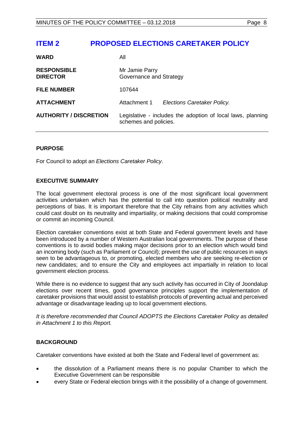<span id="page-7-0"></span>

| <b>WARD</b>                           | Αll                                                                                  |                             |
|---------------------------------------|--------------------------------------------------------------------------------------|-----------------------------|
| <b>RESPONSIBLE</b><br><b>DIRECTOR</b> | Mr Jamie Parry<br>Governance and Strategy                                            |                             |
| <b>FILE NUMBER</b>                    | 107644                                                                               |                             |
| <b>ATTACHMENT</b>                     | Attachment 1                                                                         | Elections Caretaker Policy. |
| <b>AUTHORITY / DISCRETION</b>         | Legislative - includes the adoption of local laws, planning<br>schemes and policies. |                             |

# **PURPOSE**

For Council to adopt an *Elections Caretaker Policy*.

#### **EXECUTIVE SUMMARY**

The local government electoral process is one of the most significant local government activities undertaken which has the potential to call into question political neutrality and perceptions of bias. It is important therefore that the City refrains from any activities which could cast doubt on its neutrality and impartiality, or making decisions that could compromise or commit an incoming Council.

Election caretaker conventions exist at both State and Federal government levels and have been introduced by a number of Western Australian local governments. The purpose of these conventions is to avoid bodies making major decisions prior to an election which would bind an incoming body (such as Parliament or Council); prevent the use of public resources in ways seen to be advantageous to, or promoting, elected members who are seeking re-election or new candidates; and to ensure the City and employees act impartially in relation to local government election process.

While there is no evidence to suggest that any such activity has occurred in City of Joondalup elections over recent times, good governance principles support the implementation of caretaker provisions that would assist to establish protocols of preventing actual and perceived advantage or disadvantage leading up to local government elections.

*It is therefore recommended that Council ADOPTS the Elections Caretaker Policy as detailed in Attachment 1 to this Report.* 

# **BACKGROUND**

Caretaker conventions have existed at both the State and Federal level of government as:

- the dissolution of a Parliament means there is no popular Chamber to which the Executive Government can be responsible
- every State or Federal election brings with it the possibility of a change of government.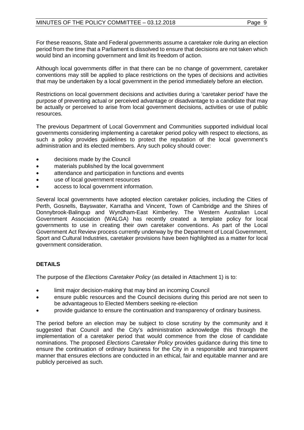For these reasons, State and Federal governments assume a caretaker role during an election period from the time that a Parliament is dissolved to ensure that decisions are not taken which would bind an incoming government and limit its freedom of action.

Although local governments differ in that there can be no change of government, caretaker conventions may still be applied to place restrictions on the types of decisions and activities that may be undertaken by a local government in the period immediately before an election.

Restrictions on local government decisions and activities during a 'caretaker period' have the purpose of preventing actual or perceived advantage or disadvantage to a candidate that may be actually or perceived to arise from local government decisions, activities or use of public resources.

The previous Department of Local Government and Communities supported individual local governments considering implementing a caretaker period policy with respect to elections, as such a policy provides guidelines to protect the reputation of the local government's administration and its elected members. Any such policy should cover:

- decisions made by the Council
- materials published by the local government
- attendance and participation in functions and events
- use of local government resources
- access to local government information.

Several local governments have adopted election caretaker policies, including the Cities of Perth, Gosnells, Bayswater, Karratha and Vincent, Town of Cambridge and the Shires of Donnybrook-Balingup and Wyndham-East Kimberley. The Western Australian Local Government Association (WALGA) has recently created a template policy for local governments to use in creating their own caretaker conventions. As part of the Local Government Act Review process currently underway by the Department of Local Government, Sport and Cultural Industries, caretaker provisions have been highlighted as a matter for local government consideration.

# **DETAILS**

The purpose of the *Elections Caretaker Policy* (as detailed in Attachment 1) is to:

- limit major decision-making that may bind an incoming Council
- ensure public resources and the Council decisions during this period are not seen to be advantageous to Elected Members seeking re-election
- provide guidance to ensure the continuation and transparency of ordinary business.

The period before an election may be subject to close scrutiny by the community and it suggested that Council and the City's administration acknowledge this through the implementation of a caretaker period that would commence from the close of candidate nominations. The proposed *Elections Caretaker Policy* provides guidance during this time to ensure the continuation of ordinary business for the City in a responsible and transparent manner that ensures elections are conducted in an ethical, fair and equitable manner and are publicly perceived as such.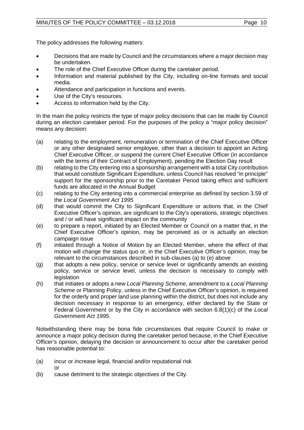The policy addresses the following matters:

- Decisions that are made by Council and the circumstances where a major decision may be undertaken.
- The role of the Chief Executive Officer during the caretaker period.
- Information and material published by the City, including on-line formats and social media.
- Attendance and participation in functions and events.
- Use of the City's resources.
- Access to information held by the City.

In the main the policy restricts the type of major policy decisions that can be made by Council during an election caretaker period. For the purposes of the policy a "major policy decision" means any decision:

- (a) relating to the employment, remuneration or termination of the Chief Executive Officer or any other designated senior employee, other than a decision to appoint an Acting Chief Executive Officer, or suspend the current Chief Executive Officer (in accordance with the terms of their Contract of Employment), pending the Election Day result
- (b) relating to the City entering into a sponsorship arrangement with a total City contribution that would constitute Significant Expenditure, unless Council has resolved "in principle" support for the sponsorship prior to the Caretaker Period taking effect and sufficient funds are allocated in the Annual Budget
- (c) relating to the City entering into a commercial enterprise as defined by section 3.59 of the *Local Government Act 1995*
- (d) that would commit the City to Significant Expenditure or actions that, in the Chief Executive Officer's opinion, are significant to the City's operations, strategic objectives and / or will have significant impact on the community
- (e) to prepare a report, initiated by an Elected Member or Council on a matter that, in the Chief Executive Officer's opinion, may be perceived as or is actually an election campaign issue
- (f) initiated through a Notice of Motion by an Elected Member, where the effect of that motion will change the status quo or, in the Chief Executive Officer's opinion, may be relevant to the circumstances described in sub-clauses (a) to (e) above
- (g) that adopts a new policy, service or service level or significantly amends an existing policy, service or service level, unless the decision is necessary to comply with legislation
- (h) that initiates or adopts a new *Local Planning Scheme*, amendment to a *Local Planning Scheme* or Planning Policy, unless in the Chief Executive Officer's opinion, is required for the orderly and proper land use planning within the district, but does not include any decision necessary in response to an emergency, either declared by the State or Federal Government or by the City in accordance with section 6.8(1)(c) of the *Local Government Act 1995*.

Notwithstanding there may be bona fide circumstances that require Council to make or announce a major policy decision during the caretaker period because, in the Chief Executive Officer's opinion, delaying the decision or announcement to occur after the caretaker period has reasonable potential to:

- (a) incur or increase legal, financial and/or reputational risk or
- (b) cause detriment to the strategic objectives of the City.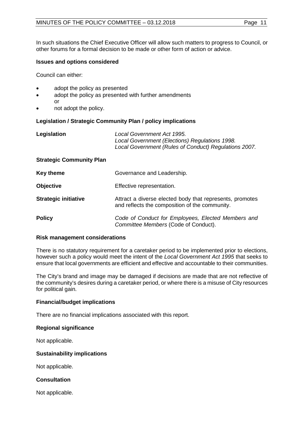In such situations the Chief Executive Officer will allow such matters to progress to Council, or other forums for a formal decision to be made or other form of action or advice.

#### **Issues and options considered**

Council can either:

- adopt the policy as presented
- adopt the policy as presented with further amendments or
- not adopt the policy.

# **Legislation / Strategic Community Plan / policy implications**

| Legislation | Local Government Act 1995.                            |
|-------------|-------------------------------------------------------|
|             | Local Government (Elections) Regulations 1998.        |
|             | Local Government (Rules of Conduct) Regulations 2007. |
|             |                                                       |

# **Strategic Community Plan**

| <b>Key theme</b>            | Governance and Leadership.                                                                                 |
|-----------------------------|------------------------------------------------------------------------------------------------------------|
| <b>Objective</b>            | Effective representation.                                                                                  |
| <b>Strategic initiative</b> | Attract a diverse elected body that represents, promotes<br>and reflects the composition of the community. |
| <b>Policy</b>               | Code of Conduct for Employees, Elected Members and<br>Committee Members (Code of Conduct).                 |

#### **Risk management considerations**

There is no statutory requirement for a caretaker period to be implemented prior to elections, however such a policy would meet the intent of the *Local Government Act 1995* that seeks to ensure that local governments are efficient and effective and accountable to their communities.

The City's brand and image may be damaged if decisions are made that are not reflective of the community's desires during a caretaker period, or where there is a misuse of City resources for political gain.

#### **Financial/budget implications**

There are no financial implications associated with this report.

#### **Regional significance**

Not applicable.

#### **Sustainability implications**

Not applicable.

#### **Consultation**

Not applicable.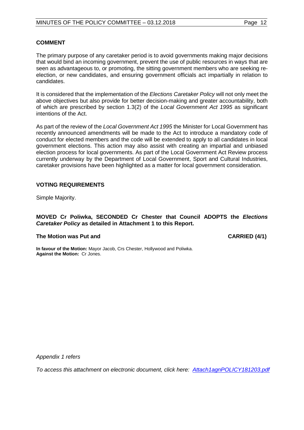#### **COMMENT**

The primary purpose of any caretaker period is to avoid governments making major decisions that would bind an incoming government, prevent the use of public resources in ways that are seen as advantageous to, or promoting, the sitting government members who are seeking reelection, or new candidates, and ensuring government officials act impartially in relation to candidates.

It is considered that the implementation of the *Elections Caretaker Policy* will not only meet the above objectives but also provide for better decision-making and greater accountability, both of which are prescribed by section 1.3(2) of the *Local Government Act 1995* as significant intentions of the Act.

As part of the review of the *Local Government Act 1995* the Minister for Local Government has recently announced amendments will be made to the Act to introduce a mandatory code of conduct for elected members and the code will be extended to apply to all candidates in local government elections. This action may also assist with creating an impartial and unbiased election process for local governments. As part of the Local Government Act Review process currently underway by the Department of Local Government, Sport and Cultural Industries, caretaker provisions have been highlighted as a matter for local government consideration.

#### **VOTING REQUIREMENTS**

Simple Majority.

#### **MOVED Cr Poliwka, SECONDED Cr Chester that Council ADOPTS the** *Elections Caretaker Policy* **as detailed in Attachment 1 to this Report.**

#### **The Motion was Put and CARRIED (4/1)**

**In favour of the Motion:** Mayor Jacob, Crs Chester, Hollywood and Poliwka. **Against the Motion:** Cr Jones.

*Appendix 1 refers*

*[To access this attachment on electronic document, click here: Attach1agnPOLICY181203.pdf](Attach1agnPOLICY181203.pdf)*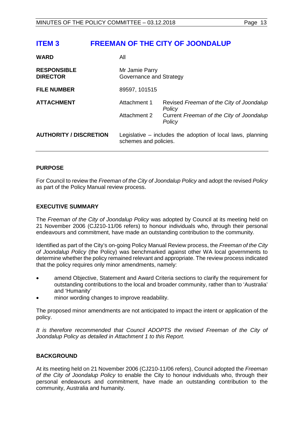# <span id="page-12-0"></span>**ITEM 3 FREEMAN OF THE CITY OF JOONDALUP**

| <b>WARD</b>                           | All                                                                                  |                                                    |
|---------------------------------------|--------------------------------------------------------------------------------------|----------------------------------------------------|
| <b>RESPONSIBLE</b><br><b>DIRECTOR</b> | Mr Jamie Parry<br>Governance and Strategy                                            |                                                    |
| <b>FILE NUMBER</b>                    | 89597, 101515                                                                        |                                                    |
| <b>ATTACHMENT</b>                     | Attachment 1                                                                         | Revised Freeman of the City of Joondalup<br>Policy |
|                                       | Attachment 2                                                                         | Current Freeman of the City of Joondalup<br>Policy |
| <b>AUTHORITY / DISCRETION</b>         | Legislative – includes the adoption of local laws, planning<br>schemes and policies. |                                                    |

# **PURPOSE**

For Council to review the *Freeman of the City of Joondalup Policy* and adopt the revised *Policy* as part of the Policy Manual review process.

# **EXECUTIVE SUMMARY**

The *Freeman of the City of Joondalup Policy* was adopted by Council at its meeting held on 21 November 2006 (CJ210-11/06 refers) to honour individuals who, through their personal endeavours and commitment, have made an outstanding contribution to the community.

Identified as part of the City's on-going Policy Manual Review process, the *Freeman of the City of Joondalup Policy* (the Policy) was benchmarked against other WA local governments to determine whether the policy remained relevant and appropriate. The review process indicated that the policy requires only minor amendments, namely:

- amend Objective, Statement and Award Criteria sections to clarify the requirement for outstanding contributions to the local and broader community, rather than to 'Australia' and 'Humanity'
- minor wording changes to improve readability.

The proposed minor amendments are not anticipated to impact the intent or application of the policy.

*It is therefore recommended that Council ADOPTS the revised Freeman of the City of Joondalup Policy as detailed in Attachment 1 to this Report.*

### **BACKGROUND**

At its meeting held on 21 November 2006 (CJ210-11/06 refers), Council adopted the *Freeman of the City of Joondalup Policy* to enable the City to honour individuals who, through their personal endeavours and commitment, have made an outstanding contribution to the community, Australia and humanity.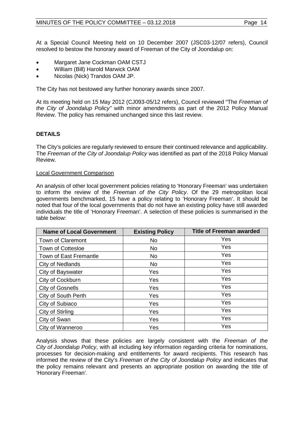At a Special Council Meeting held on 10 December 2007 (JSC03-12/07 refers), Council resolved to bestow the honorary award of Freeman of the City of Joondalup on:

- Margaret Jane Cockman OAM CSTJ
- William (Bill) Harold Marwick OAM
- Nicolas (Nick) Trandos OAM JP.

The City has not bestowed any further honorary awards since 2007.

At its meeting held on 15 May 2012 (CJ093-05/12 refers), Council reviewed "The *Freeman of the City of Joondalup Policy"* with minor amendments as part of the 2012 Policy Manual Review. The policy has remained unchanged since this last review.

# **DETAILS**

The City's policies are regularly reviewed to ensure their continued relevance and applicability. The *Freeman of the City of Joondalup Policy* was identified as part of the 2018 Policy Manual Review.

#### Local Government Comparison

An analysis of other local government policies relating to 'Honorary Freeman' was undertaken to inform the review of the *Freeman of the City Policy*. Of the 29 metropolitan local governments benchmarked, 15 have a policy relating to 'Honorary Freeman'. It should be noted that four of the local governments that do not have an existing policy have still awarded individuals the title of 'Honorary Freeman'. A selection of these policies is summarised in the table below:

| <b>Name of Local Government</b> | <b>Existing Policy</b> | <b>Title of Freeman awarded</b> |
|---------------------------------|------------------------|---------------------------------|
| Town of Claremont               | No                     | Yes                             |
| <b>Town of Cottesloe</b>        | No.                    | Yes                             |
| Town of East Fremantle          | <b>No</b>              | Yes                             |
| City of Nedlands                | No.                    | Yes                             |
| City of Bayswater               | Yes                    | Yes                             |
| City of Cockburn                | Yes                    | Yes                             |
| <b>City of Gosnells</b>         | Yes                    | Yes                             |
| City of South Perth             | Yes                    | Yes                             |
| City of Subiaco                 | Yes                    | Yes                             |
| City of Stirling                | Yes                    | Yes                             |
| City of Swan                    | Yes                    | Yes                             |
| City of Wanneroo                | Yes                    | Yes                             |

Analysis shows that these policies are largely consistent with the *Freeman of the City of Joondalup Policy*, with all including key information regarding criteria for nominations, processes for decision-making and entitlements for award recipients. This research has informed the review of the City's *Freeman of the City of Joondalup Policy* and indicates that the policy remains relevant and presents an appropriate position on awarding the title of 'Honorary Freeman'.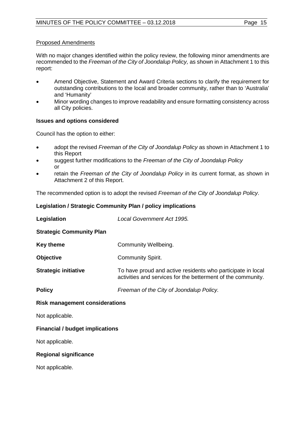With no major changes identified within the policy review, the following minor amendments are recommended to the *Freeman of the City of Joondalup Policy,* as shown in Attachment 1 to this report:

- Amend Objective, Statement and Award Criteria sections to clarify the requirement for outstanding contributions to the local and broader community, rather than to 'Australia' and 'Humanity'
- Minor wording changes to improve readability and ensure formatting consistency across all City policies.

#### **Issues and options considered**

Council has the option to either:

- adopt the revised *Freeman of the City of Joondalup Policy* as shown in Attachment 1 to this Report
- suggest further modifications to the *Freeman of the City of Joondalup Policy* or
- retain the *Freeman of the City of Joondalup Policy* in its current format, as shown in Attachment 2 of this Report.

The recommended option is to adopt the revised *Freeman of the City of Joondalup Policy*.

#### **Legislation / Strategic Community Plan / policy implications**

| Legislation                            | Local Government Act 1995.                                                                                                  |  |
|----------------------------------------|-----------------------------------------------------------------------------------------------------------------------------|--|
| <b>Strategic Community Plan</b>        |                                                                                                                             |  |
| Key theme                              | Community Wellbeing.                                                                                                        |  |
| <b>Objective</b>                       | Community Spirit.                                                                                                           |  |
| <b>Strategic initiative</b>            | To have proud and active residents who participate in local<br>activities and services for the betterment of the community. |  |
| <b>Policy</b>                          | Freeman of the City of Joondalup Policy.                                                                                    |  |
| <b>Risk management considerations</b>  |                                                                                                                             |  |
| Not applicable.                        |                                                                                                                             |  |
| <b>Financial / budget implications</b> |                                                                                                                             |  |
| Not applicable.                        |                                                                                                                             |  |

#### **Regional significance**

Not applicable.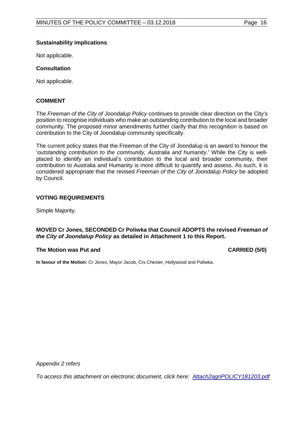### **Sustainability implications**

Not applicable.

# **Consultation**

Not applicable.

#### **COMMENT**

The *Freeman of the City of Joondalup Policy* continues to provide clear direction on the City's position to recognise individuals who make an outstanding contribution to the local and broader community. The proposed minor amendments further clarify that this recognition is based on contribution to the City of Joondalup community specifically.

The current policy states that the Freeman of the City of Joondalup is an award to honour the '*outstanding contribution to the community, Australia and humanity*.' While the City is wellplaced to identify an individual's contribution to the local and broader community, their contribution to Australia and Humanity is more difficult to quantify and assess. As such, it is considered appropriate that the revised *Freeman of the City of Joondalup Policy* be adopted by Council.

#### **VOTING REQUIREMENTS**

Simple Majority.

#### **MOVED Cr Jones, SECONDED Cr Poliwka that Council ADOPTS the revised** *Freeman of the City of Joondalup Policy* **as detailed in Attachment 1 to this Report.**

#### **The Motion was Put and CARRIED (5/0)**

**In favour of the Motion:** Cr Jones, Mayor Jacob, Crs Chester, Hollywood and Poliwka.

*Appendix 2 refers*

*[To access this attachment on electronic document, click here: Attach2agnPOLICY181203.pdf](Attach2agnPOLICY181203.pdf)*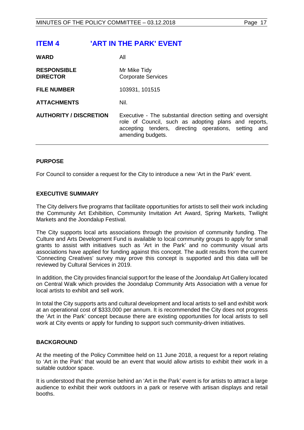# <span id="page-16-0"></span>**ITEM 4 'ART IN THE PARK' EVENT**

| <b>WARD</b>                           | Αll                                                                                                                                                                                              |
|---------------------------------------|--------------------------------------------------------------------------------------------------------------------------------------------------------------------------------------------------|
| <b>RESPONSIBLE</b><br><b>DIRECTOR</b> | Mr Mike Tidy<br><b>Corporate Services</b>                                                                                                                                                        |
| <b>FILE NUMBER</b>                    | 103931, 101515                                                                                                                                                                                   |
| <b>ATTACHMENTS</b>                    | Nil.                                                                                                                                                                                             |
| <b>AUTHORITY / DISCRETION</b>         | Executive - The substantial direction setting and oversight<br>role of Council, such as adopting plans and reports,<br>accepting tenders, directing operations, setting and<br>amending budgets. |
|                                       |                                                                                                                                                                                                  |

# **PURPOSE**

For Council to consider a request for the City to introduce a new 'Art in the Park' event.

# **EXECUTIVE SUMMARY**

The City delivers five programs that facilitate opportunities for artists to sell their work including the Community Art Exhibition, Community Invitation Art Award, Spring Markets, Twilight Markets and the Joondalup Festival.

The City supports local arts associations through the provision of community funding. The Culture and Arts Development Fund is available to local community groups to apply for small grants to assist with initiatives such as 'Art in the Park' and no community visual arts associations have applied for funding against this concept. The audit results from the current 'Connecting Creatives' survey may prove this concept is supported and this data will be reviewed by Cultural Services in 2019.

In addition, the City provides financial support for the lease of the Joondalup Art Gallery located on Central Walk which provides the Joondalup Community Arts Association with a venue for local artists to exhibit and sell work.

In total the City supports arts and cultural development and local artists to sell and exhibit work at an operational cost of \$333,000 per annum. It is recommended the City does not progress the 'Art in the Park' concept because there are existing opportunities for local artists to sell work at City events or apply for funding to support such community-driven initiatives.

#### **BACKGROUND**

At the meeting of the Policy Committee held on 11 June 2018, a request for a report relating to 'Art in the Park' that would be an event that would allow artists to exhibit their work in a suitable outdoor space.

It is understood that the premise behind an 'Art in the Park' event is for artists to attract a large audience to exhibit their work outdoors in a park or reserve with artisan displays and retail booths.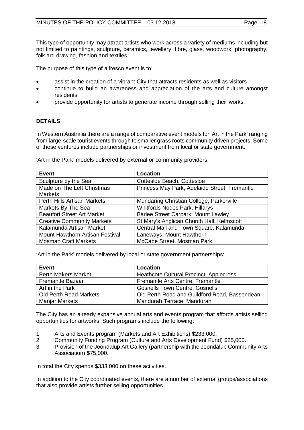This type of opportunity may attract artists who work across a variety of mediums including but not limited to paintings, sculpture, ceramics, jewellery, fibre, glass, woodwork, photography, folk art, drawing, fashion and textiles.

The purpose of this type of alfresco event is to:

- assist in the creation of a vibrant City that attracts residents as well as visitors
- continue to build an awareness and appreciation of the arts and culture amongst residents
- provide opportunity for artists to generate income through selling their works.

# **DETAILS**

In Western Australia there are a range of comparative event models for 'Art in the Park' ranging from large-scale tourist events through to smaller grass roots community driven projects. Some of these ventures include partnerships or investment from local or state government.

| <b>Event</b>                      | <b>Location</b>                               |
|-----------------------------------|-----------------------------------------------|
| Sculpture by the Sea              | Cottesloe Beach, Cottesloe                    |
| Made on The Left Christmas        | Princess May Park, Adelaide Street, Fremantle |
| <b>Markets</b>                    |                                               |
| Perth Hills Artisan Markets       | Mundaring Christian College, Parkerville      |
| Markets By The Sea                | <b>Whitfords Nodes Park, Hillarys</b>         |
| <b>Beaufort Street Art Market</b> | Barlee Street Carpark, Mount Lawley           |
| <b>Creative Community Markets</b> | St Mary's Anglican Church Hall, Kelmscott     |
| Kalamunda Artisan Market          | Central Mall and Town Square, Kalamunda       |
| Mount Hawthorn Artisan Festival   | Laneways, Mount Hawthorn                      |
| <b>Mosman Craft Markets</b>       | McCabe Street, Mosman Park                    |

'Art in the Park' models delivered by external or community providers:

'Art in the Park' models delivered by local or state government partnerships:

| Event                         | Location                                      |
|-------------------------------|-----------------------------------------------|
| <b>Perth Makers Market</b>    | Heathcote Cultural Precinct, Applecross       |
| <b>Fremantle Bazaar</b>       | Fremantle Arts Centre, Fremantle              |
| Art in the Park               | <b>Gosnells Town Centre, Gosnells</b>         |
| <b>Old Perth Road Markets</b> | Old Perth Road and Guildford Road, Bassendean |
| <b>Manjar Markets</b>         | Mandurah Terrace, Mandurah                    |

The City has an already expansive annual arts and events program that affords artists selling opportunities for artworks. Such programs include the following:

- 1 Arts and Events program (Markets and Art Exhibitions) \$233,000.
- 2 Community Funding Program (Culture and Arts Development Fund) \$25,000.
- 3 Provision of the Joondalup Art Gallery (partnership with the Joondalup Community Arts Association) \$75,000.

In total the City spends \$333,000 on these activities.

In addition to the City coordinated events, there are a number of external groups/associations that also provide artists further selling opportunities.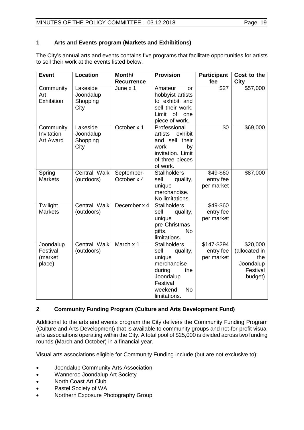# **1 Arts and Events program (Markets and Exhibitions)**

The City's annual arts and events contains five programs that facilitate opportunities for artists to sell their work at the events listed below.

| <b>Event</b>                                | <b>Location</b>                           | Month/                    | <b>Provision</b>                                                                                                                                    | <b>Participant</b>                     | Cost to the                                                          |
|---------------------------------------------|-------------------------------------------|---------------------------|-----------------------------------------------------------------------------------------------------------------------------------------------------|----------------------------------------|----------------------------------------------------------------------|
|                                             |                                           | <b>Recurrence</b>         |                                                                                                                                                     | fee                                    | City                                                                 |
| Community<br>Art<br>Exhibition              | Lakeside<br>Joondalup<br>Shopping<br>City | June x 1                  | Amateur<br>or<br>hobbyist artists<br>to exhibit and<br>sell their work.<br>Limit<br>of<br>one<br>piece of work.                                     | \$27                                   | \$57,000                                                             |
| Community<br>Invitation<br><b>Art Award</b> | Lakeside<br>Joondalup<br>Shopping<br>City | October x 1               | Professional<br>exhibit<br>artists<br>and sell their<br>work<br>by<br>invitation. Limit<br>of three pieces<br>of work.                              | \$0                                    | \$69,000                                                             |
| Spring<br><b>Markets</b>                    | Central Walk<br>(outdoors)                | September-<br>October x 4 | <b>Stallholders</b><br>sell<br>quality,<br>unique<br>merchandise.<br>No limitations.                                                                | \$49-\$60<br>entry fee<br>per market   | \$87,000                                                             |
| Twilight<br><b>Markets</b>                  | Central Walk<br>(outdoors)                | December x 4              | <b>Stallholders</b><br>sell<br>quality,<br>unique<br>pre-Christmas<br>gifts.<br><b>No</b><br>limitations.                                           | \$49-\$60<br>entry fee<br>per market   |                                                                      |
| Joondalup<br>Festival<br>(market<br>place)  | Central Walk<br>(outdoors)                | March x 1                 | <b>Stallholders</b><br>sell<br>quality,<br>unique<br>merchandise<br>during<br>the<br>Joondalup<br>Festival<br>weekend.<br><b>No</b><br>limitations. | \$147-\$294<br>entry fee<br>per market | \$20,000<br>(allocated in<br>the<br>Joondalup<br>Festival<br>budget) |

# **2 Community Funding Program (Culture and Arts Development Fund)**

Additional to the arts and events program the City delivers the Community Funding Program (Culture and Arts Development) that is available to community groups and not-for-profit visual arts associations operating within the City. A total pool of \$25,000 is divided across two funding rounds (March and October) in a financial year.

Visual arts associations eligible for Community Funding include (but are not exclusive to):

- Joondalup Community Arts Association
- Wanneroo Joondalup Art Society
- North Coast Art Club
- Pastel Society of WA
- Northern Exposure Photography Group.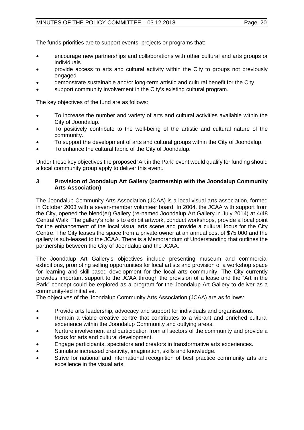# MINUTES OF THE POLICY COMMITTEE - 03.12.2018 Page 20

The funds priorities are to support events, projects or programs that:

- encourage new partnerships and collaborations with other cultural and arts groups or individuals
- provide access to arts and cultural activity within the City to groups not previously engaged
- demonstrate sustainable and/or long-term artistic and cultural benefit for the City
- support community involvement in the City's existing cultural program.

The key objectives of the fund are as follows:

- To increase the number and variety of arts and cultural activities available within the City of Joondalup.
- To positively contribute to the well-being of the artistic and cultural nature of the community.
- To support the development of arts and cultural groups within the City of Joondalup.
- To enhance the cultural fabric of the City of Joondalup.

Under these key objectives the proposed 'Art in the Park' event would qualify for funding should a local community group apply to deliver this event.

### **3 Provision of Joondalup Art Gallery (partnership with the Joondalup Community Arts Association)**

The Joondalup Community Arts Association (JCAA) is a local visual arts association, formed in October 2003 with a seven-member volunteer board. In 2004, the JCAA with support from the City, opened the blend(er) Gallery (re-named Joondalup Art Gallery in July 2014) at 4/48 Central Walk. The gallery's role is to exhibit artwork, conduct workshops, provide a focal point for the enhancement of the local visual arts scene and provide a cultural focus for the City Centre. The City leases the space from a private owner at an annual cost of \$75,000 and the gallery is sub-leased to the JCAA. There is a Memorandum of Understanding that outlines the partnership between the City of Joondalup and the JCAA.

The Joondalup Art Gallery's objectives include presenting museum and commercial exhibitions, promoting selling opportunities for local artists and provision of a workshop space for learning and skill-based development for the local arts community. The City currently provides important support to the JCAA through the provision of a lease and the "Art in the Park" concept could be explored as a program for the Joondalup Art Gallery to deliver as a community-led initiative.

The objectives of the Joondalup Community Arts Association (JCAA) are as follows:

- Provide arts leadership, advocacy and support for individuals and organisations.
- Remain a viable creative centre that contributes to a vibrant and enriched cultural experience within the Joondalup Community and outlying areas.
- Nurture involvement and participation from all sectors of the community and provide a focus for arts and cultural development.
- Engage participants, spectators and creators in transformative arts experiences.
- Stimulate increased creativity, imagination, skills and knowledge.
- Strive for national and international recognition of best practice community arts and excellence in the visual arts.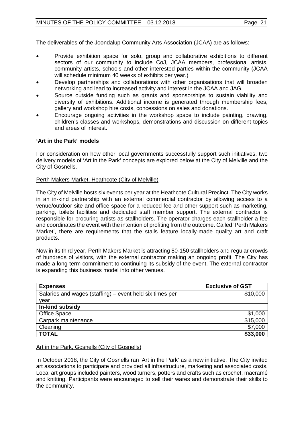# MINUTES OF THE POLICY COMMITTEE - 03.12.2018 Page 21

The deliverables of the Joondalup Community Arts Association (JCAA) are as follows:

- Provide exhibition space for solo, group and collaborative exhibitions to different sectors of our community to include CoJ, JCAA members, professional artists, community artists, schools and other interested parties within the community (JCAA will schedule minimum 40 weeks of exhibits per year.)
- Develop partnerships and collaborations with other organisations that will broaden networking and lead to increased activity and interest in the JCAA and JAG.
- Source outside funding such as grants and sponsorships to sustain viability and diversity of exhibitions. Additional income is generated through membership fees, gallery and workshop hire costs, concessions on sales and donations.
- Encourage ongoing activities in the workshop space to include painting, drawing, children's classes and workshops, demonstrations and discussion on different topics and areas of interest.

# **'Art in the Park' models**

For consideration on how other local governments successfully support such initiatives, two delivery models of 'Art in the Park' concepts are explored below at the City of Melville and the City of Gosnells.

#### Perth Makers Market, Heathcote (City of Melville)

The City of Melville hosts six events per year at the Heathcote Cultural Precinct. The City works in an in-kind partnership with an external commercial contractor by allowing access to a venue/outdoor site and office space for a reduced fee and other support such as marketing, parking, toilets facilities and dedicated staff member support. The external contractor is responsible for procuring artists as stallholders. The operator charges each stallholder a fee and coordinates the event with the intention of profiting from the outcome. Called 'Perth Makers Market', there are requirements that the stalls feature locally-made quality art and craft products.

Now in its third year, Perth Makers Market is attracting 80-150 stallholders and regular crowds of hundreds of visitors, with the external contractor making an ongoing profit. The City has made a long-term commitment to continuing its subsidy of the event. The external contractor is expanding this business model into other venues.

| <b>Expenses</b>                                          | <b>Exclusive of GST</b> |
|----------------------------------------------------------|-------------------------|
| Salaries and wages (staffing) – event held six times per | \$10,000                |
| year                                                     |                         |
| In-kind subsidy                                          |                         |
| <b>Office Space</b>                                      | \$1,000                 |
| Carpark maintenance                                      | \$15,000                |
| Cleaning                                                 | \$7,000                 |
| <b>TOTAL</b>                                             | \$33,000                |

#### Art in the Park, Gosnells (City of Gosnells)

In October 2018, the City of Gosnells ran 'Art in the Park' as a new initiative. The City invited art associations to participate and provided all infrastructure, marketing and associated costs. Local art groups included painters, wood turners, potters and crafts such as crochet, macramé and knitting. Participants were encouraged to sell their wares and demonstrate their skills to the community.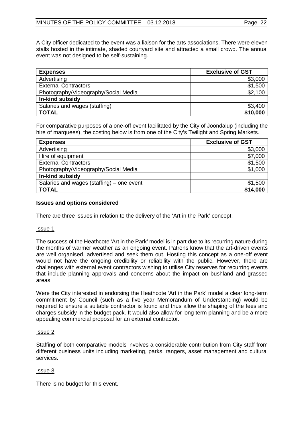A City officer dedicated to the event was a liaison for the arts associations. There were eleven stalls hosted in the intimate, shaded courtyard site and attracted a small crowd. The annual event was not designed to be self-sustaining.

| <b>Expenses</b>                      | <b>Exclusive of GST</b> |
|--------------------------------------|-------------------------|
| Advertising                          | \$3,000                 |
| <b>External Contractors</b>          | \$1,500                 |
| Photography/Videography/Social Media | \$2,100                 |
| In-kind subsidy                      |                         |
| Salaries and wages (staffing)        | \$3,400                 |
| <b>TOTAL</b>                         | \$10,000                |

For comparative purposes of a one-off event facilitated by the City of Joondalup (including the hire of marquees), the costing below is from one of the City's Twilight and Spring Markets.

| <b>Expenses</b>                           | <b>Exclusive of GST</b> |
|-------------------------------------------|-------------------------|
| Advertising                               | \$3,000                 |
| Hire of equipment                         | \$7,000                 |
| <b>External Contractors</b>               | \$1,500                 |
| Photography/Videography/Social Media      | \$1,000                 |
| In-kind subsidy                           |                         |
| Salaries and wages (staffing) – one event | \$1,500                 |
| <b>TOTAL</b>                              | \$14,000                |

# **Issues and options considered**

There are three issues in relation to the delivery of the 'Art in the Park' concept:

#### Issue 1

The success of the Heathcote 'Art in the Park' model is in part due to its recurring nature during the months of warmer weather as an ongoing event. Patrons know that the art-driven events are well organised, advertised and seek them out. Hosting this concept as a one-off event would not have the ongoing credibility or reliability with the public. However, there are challenges with external event contractors wishing to utilise City reserves for recurring events that include planning approvals and concerns about the impact on bushland and grassed areas.

Were the City interested in endorsing the Heathcote 'Art in the Park' model a clear long-term commitment by Council (such as a five year Memorandum of Understanding) would be required to ensure a suitable contractor is found and thus allow the shaping of the fees and charges subsidy in the budget pack. It would also allow for long term planning and be a more appealing commercial proposal for an external contractor.

#### Issue 2

Staffing of both comparative models involves a considerable contribution from City staff from different business units including marketing, parks, rangers, asset management and cultural services.

#### Issue 3

There is no budget for this event.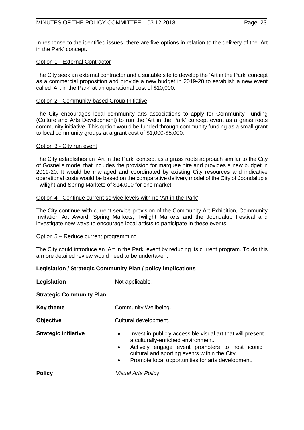In response to the identified issues, there are five options in relation to the delivery of the 'Art in the Park' concept.

#### Option 1 - External Contractor

The City seek an external contractor and a suitable site to develop the 'Art in the Park' concept as a commercial proposition and provide a new budget in 2019-20 to establish a new event called 'Art in the Park' at an operational cost of \$10,000.

#### Option 2 - Community-based Group Initiative

The City encourages local community arts associations to apply for Community Funding (Culture and Arts Development) to run the 'Art in the Park' concept event as a grass roots community initiative. This option would be funded through community funding as a small grant to local community groups at a grant cost of \$1,000-\$5,000.

#### Option 3 - City run event

The City establishes an 'Art in the Park' concept as a grass roots approach similar to the City of Gosnells model that includes the provision for marquee hire and provides a new budget in 2019-20. It would be managed and coordinated by existing City resources and indicative operational costs would be based on the comparative delivery model of the City of Joondalup's Twilight and Spring Markets of \$14,000 for one market.

#### Option 4 - Continue current service levels with no 'Art in the Park'

The City continue with current service provision of the Community Art Exhibition, Community Invitation Art Award, Spring Markets, Twilight Markets and the Joondalup Festival and investigate new ways to encourage local artists to participate in these events.

#### Option 5 – Reduce current programming

The City could introduce an 'Art in the Park' event by reducing its current program. To do this a more detailed review would need to be undertaken.

# **Legislation / Strategic Community Plan / policy implications**

**Legislation** Not applicable.

**Strategic Community Plan**

**Key theme Community Wellbeing.** 

**Objective** Cultural development.

- **Strategic initiative •** Invest in publicly accessible visual art that will present a culturally-enriched environment.
	- Actively engage event promoters to host iconic, cultural and sporting events within the City.
	- Promote local opportunities for arts development.

**Policy** *Visual Arts Policy*.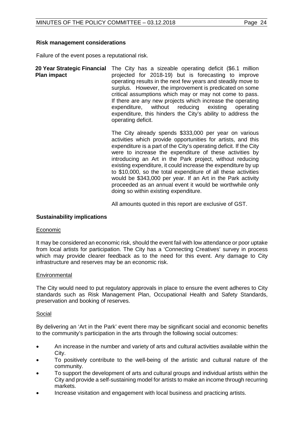#### **Risk management considerations**

Failure of the event poses a reputational risk.

**20 Year Strategic Financial**  The City has a sizeable operating deficit (\$6.1 million **Plan impact**  projected for 2018-19) but is forecasting to improve operating results in the next few years and steadily move to surplus. However, the improvement is predicated on some critical assumptions which may or may not come to pass. If there are any new projects which increase the operating expenditure, without reducing existing operating expenditure, this hinders the City's ability to address the operating deficit.

> The City already spends \$333,000 per year on various activities which provide opportunities for artists, and this expenditure is a part of the City's operating deficit. If the City were to increase the expenditure of these activities by introducing an Art in the Park project, without reducing existing expenditure, it could increase the expenditure by up to \$10,000, so the total expenditure of all these activities would be \$343,000 per year. If an Art in the Park activity proceeded as an annual event it would be worthwhile only doing so within existing expenditure.

All amounts quoted in this report are exclusive of GST.

#### **Sustainability implications**

#### Economic

It may be considered an economic risk, should the event fail with low attendance or poor uptake from local artists for participation. The City has a 'Connecting Creatives' survey in process which may provide clearer feedback as to the need for this event. Any damage to City infrastructure and reserves may be an economic risk.

#### **Environmental**

The City would need to put regulatory approvals in place to ensure the event adheres to City standards such as Risk Management Plan, Occupational Health and Safety Standards, preservation and booking of reserves.

#### Social

By delivering an 'Art in the Park' event there may be significant social and economic benefits to the community's participation in the arts through the following social outcomes:

- An increase in the number and variety of arts and cultural activities available within the City.
- To positively contribute to the well-being of the artistic and cultural nature of the community.
- To support the development of arts and cultural groups and individual artists within the City and provide a self-sustaining model for artists to make an income through recurring markets.
- Increase visitation and engagement with local business and practicing artists.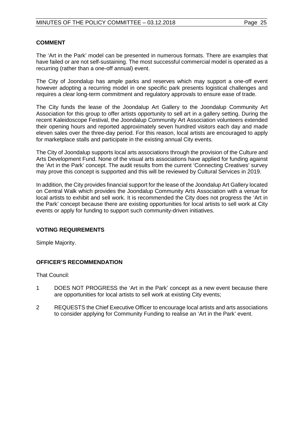### **COMMENT**

The 'Art in the Park' model can be presented in numerous formats. There are examples that have failed or are not self-sustaining. The most successful commercial model is operated as a recurring (rather than a one-off annual) event.

The City of Joondalup has ample parks and reserves which may support a one-off event however adopting a recurring model in one specific park presents logistical challenges and requires a clear long-term commitment and regulatory approvals to ensure ease of trade.

The City funds the lease of the Joondalup Art Gallery to the Joondalup Community Art Association for this group to offer artists opportunity to sell art in a gallery setting. During the recent Kaleidoscope Festival, the Joondalup Community Art Association volunteers extended their opening hours and reported approximately seven hundred visitors each day and made eleven sales over the three-day period. For this reason, local artists are encouraged to apply for marketplace stalls and participate in the existing annual City events.

The City of Joondalup supports local arts associations through the provision of the Culture and Arts Development Fund. None of the visual arts associations have applied for funding against the 'Art in the Park' concept. The audit results from the current 'Connecting Creatives' survey may prove this concept is supported and this will be reviewed by Cultural Services in 2019.

In addition, the City provides financial support for the lease of the Joondalup Art Gallery located on Central Walk which provides the Joondalup Community Arts Association with a venue for local artists to exhibit and sell work. It is recommended the City does not progress the 'Art in the Park' concept because there are existing opportunities for local artists to sell work at City events or apply for funding to support such community-driven initiatives.

# **VOTING REQUIREMENTS**

Simple Majority.

# **OFFICER'S RECOMMENDATION**

That Council:

- 1 DOES NOT PROGRESS the 'Art in the Park' concept as a new event because there are opportunities for local artists to sell work at existing City events;
- 2 REQUESTS the Chief Executive Officer to encourage local artists and arts associations to consider applying for Community Funding to realise an 'Art in the Park' event.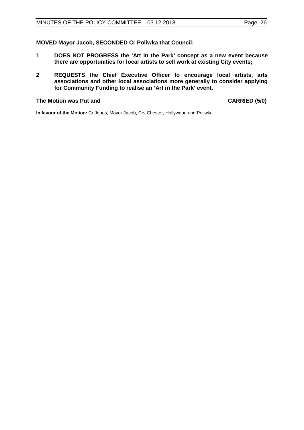### **MOVED Mayor Jacob, SECONDED Cr Poliwka that Council:**

- **1 DOES NOT PROGRESS the 'Art in the Park' concept as a new event because there are opportunities for local artists to sell work at existing City events;**
- **2 REQUESTS the Chief Executive Officer to encourage local artists, arts associations and other local associations more generally to consider applying for Community Funding to realise an 'Art in the Park' event.**

#### **The Motion was Put and CARRIED (5/0)**

**In favour of the Motion:** Cr Jones, Mayor Jacob, Crs Chester, Hollywood and Poliwka.